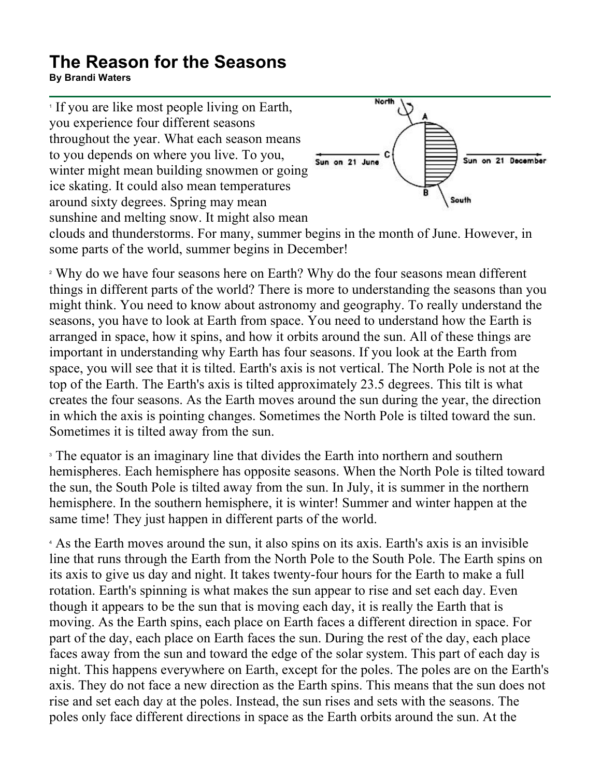## **The Reason for the Seasons**

**By Brandi Waters**

<sup>1</sup> If you are like most people living on Earth, you experience four different seasons throughout the year. What each season means to you depends on where you live. To you, winter might mean building snowmen or going ice skating. It could also mean temperatures around sixty degrees. Spring may mean sunshine and melting snow. It might also mean



clouds and thunderstorms. For many, summer begins in the month of June. However, in some parts of the world, summer begins in December!

<sup>2</sup> Why do we have four seasons here on Earth? Why do the four seasons mean different things in different parts of the world? There is more to understanding the seasons than you might think. You need to know about astronomy and geography. To really understand the seasons, you have to look at Earth from space. You need to understand how the Earth is arranged in space, how it spins, and how it orbits around the sun. All of these things are important in understanding why Earth has four seasons. If you look at the Earth from space, you will see that it is tilted. Earth's axis is not vertical. The North Pole is not at the top of the Earth. The Earth's axis is tilted approximately 23.5 degrees. This tilt is what creates the four seasons. As the Earth moves around the sun during the year, the direction in which the axis is pointing changes. Sometimes the North Pole is tilted toward the sun. Sometimes it is tilted away from the sun.

<sup>3</sup> The equator is an imaginary line that divides the Earth into northern and southern hemispheres. Each hemisphere has opposite seasons. When the North Pole is tilted toward the sun, the South Pole is tilted away from the sun. In July, it is summer in the northern hemisphere. In the southern hemisphere, it is winter! Summer and winter happen at the same time! They just happen in different parts of the world.

<sup>4</sup> As the Earth moves around the sun, it also spins on its axis. Earth's axis is an invisible line that runs through the Earth from the North Pole to the South Pole. The Earth spins on its axis to give us day and night. It takes twenty-four hours for the Earth to make a full rotation. Earth's spinning is what makes the sun appear to rise and set each day. Even though it appears to be the sun that is moving each day, it is really the Earth that is moving. As the Earth spins, each place on Earth faces a different direction in space. For part of the day, each place on Earth faces the sun. During the rest of the day, each place faces away from the sun and toward the edge of the solar system. This part of each day is night. This happens everywhere on Earth, except for the poles. The poles are on the Earth's axis. They do not face a new direction as the Earth spins. This means that the sun does not rise and set each day at the poles. Instead, the sun rises and sets with the seasons. The poles only face different directions in space as the Earth orbits around the sun. At the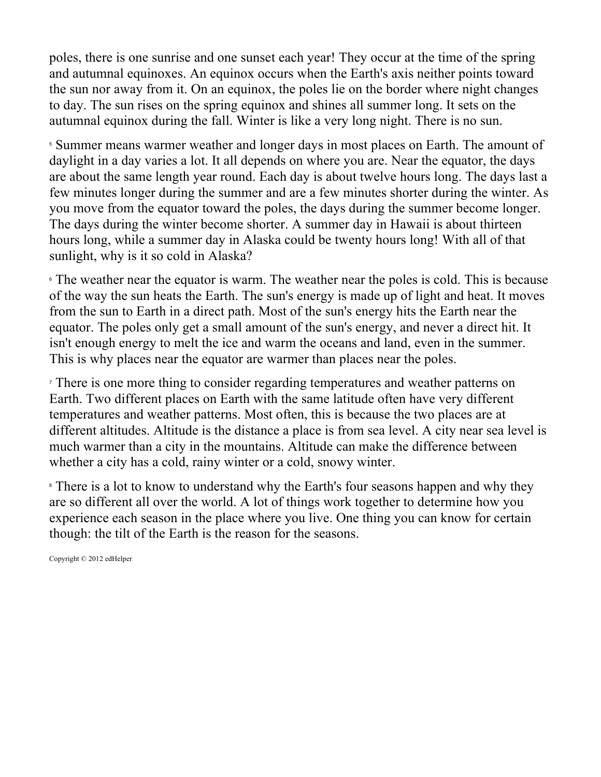poles, there is one sunrise and one sunset each year! They occur at the time of the spring and autumnal equinoxes. An equinox occurs when the Earth's axis neither points toward the sun nor away from it. On an equinox, the poles lie on the border where night changes to day. The sun rises on the spring equinox and shines all summer long. It sets on the autumnal equinox during the fall. Winter is like a very long night. There is no sun.

<sup>5</sup> Summer means warmer weather and longer days in most places on Earth. The amount of daylight in a day varies a lot. It all depends on where you are. Near the equator, the days are about the same length year round. Each day is about twelve hours long. The days last a few minutes longer during the summer and are a few minutes shorter during the winter. As you move from the equator toward the poles, the days during the summer become longer. The days during the winter become shorter. A summer day in Hawaii is about thirteen hours long, while a summer day in Alaska could be twenty hours long! With all of that sunlight, why is it so cold in Alaska?

<sup><sup>6</sup> The weather near the equator is warm. The weather near the poles is cold. This is because</sup> of the way the sun heats the Earth. The sun's energy is made up of light and heat. It moves from the sun to Earth in a direct path. Most of the sun's energy hits the Earth near the equator. The poles only get a small amount of the sun's energy, and never a direct hit. It isn't enough energy to melt the ice and warm the oceans and land, even in the summer. This is why places near the equator are warmer than places near the poles.

<sup>7</sup> There is one more thing to consider regarding temperatures and weather patterns on Earth. Two different places on Earth with the same latitude often have very different temperatures and weather patterns. Most often, this is because the two places are at different altitudes. Altitude is the distance a place is from sea level. A city near sea level is much warmer than a city in the mountains. Altitude can make the difference between whether a city has a cold, rainy winter or a cold, snowy winter.

<sup>8</sup> There is a lot to know to understand why the Earth's four seasons happen and why they are so different all over the world. A lot of things work together to determine how you experience each season in the place where you live. One thing you can know for certain though: the tilt of the Earth is the reason for the seasons.

Copyright © 2012 edHelper